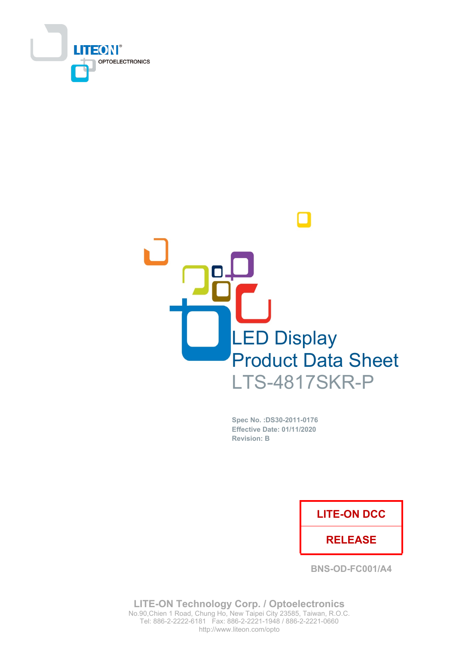



Spec No. : DS30-2011-0176 **Effective Date: 01/11/2020 Revision: B** 

## **LITE-ON DCC**

## **RELEASE**

**BNS-OD-FC001/A4** 

**LITE-ON Technology Corp. / Optoelectronics** No.90, Chien 1 Road, Chung Ho, New Taipei City 23585, Taiwan, R.O.C. Tel: 886-2-2222-6181 Fax: 886-2-2221-1948 / 886-2-2221-0660 http://www.liteon.com/opto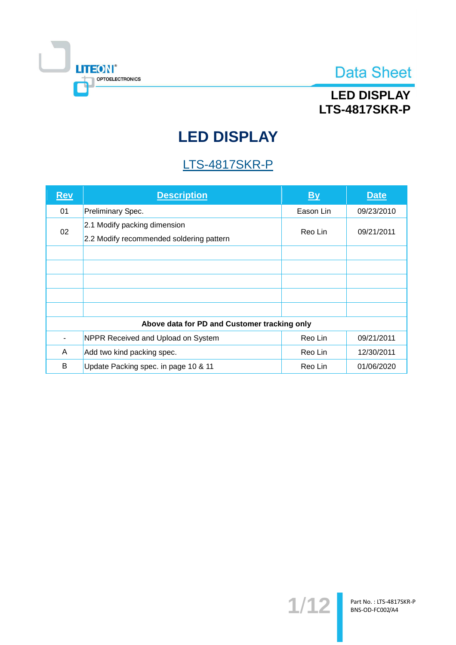

# **LED DISPLAY LTS-4817SKR-P**

# **LED DISPLAY**

# **LTS-4817SKR-P**

| <b>Rev</b> | <b>Description</b>                                                       | <b>By</b> | <b>Date</b> |
|------------|--------------------------------------------------------------------------|-----------|-------------|
| 01         | Preliminary Spec.                                                        | Eason Lin | 09/23/2010  |
| 02         | 2.1 Modify packing dimension<br>2.2 Modify recommended soldering pattern | Reo Lin   | 09/21/2011  |
|            |                                                                          |           |             |
|            |                                                                          |           |             |
|            |                                                                          |           |             |
|            |                                                                          |           |             |
|            |                                                                          |           |             |
|            | Above data for PD and Customer tracking only                             |           |             |
|            | NPPR Received and Upload on System                                       | Reo Lin   | 09/21/2011  |
| A          | Add two kind packing spec.                                               | Reo Lin   | 12/30/2011  |
| B          | Update Packing spec. in page 10 & 11                                     | Reo Lin   | 01/06/2020  |

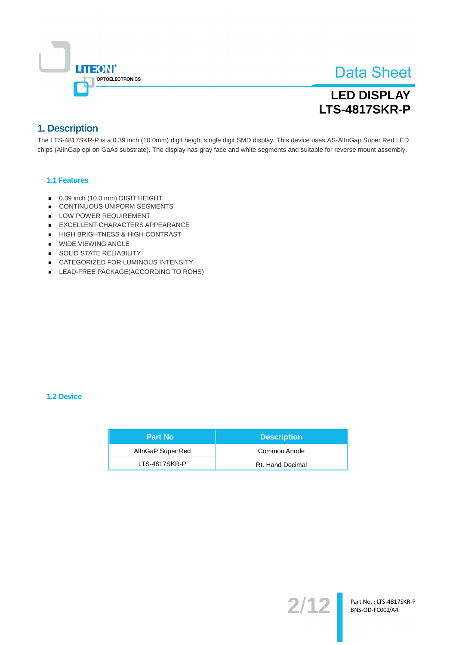

# **LED DISPLAY LTS-4817SKR-P**

## 1. Description

The LTS-4817SKR-P is a 0.39 inch (10.0mm) digit height single digit SMD display. This device uses AS-AllnGap Super Red LED chips (AllnGap epi on GaAs substrate). The display has gray face and white segments and suitable for reverse mount assembly.

### 1.1 Features

- 0.39 inch (10.0 mm) DIGIT HEIGHT
- CONTINUOUS UNIFORM SEGMENTS
- LOW POWER REQUIREMENT
- EXCELLENT CHARACTERS APPEARANCE
- HIGH BRIGHTNESS & HIGH CONTRAST
- WIDE VIEWING ANGLE
- SOLID STATE RELIABILITY
- CATEGORIZED FOR LUMINOUS INTENSITY.
- LEAD-FREE PACKAGE(ACCORDING TO ROHS)

#### 1.2 Device

| <b>Part No</b>    | <b>Description</b> |
|-------------------|--------------------|
| AllnGaP Super Red | Common Anode       |
| LTS-4817SKR-P     | Rt. Hand Decimal   |

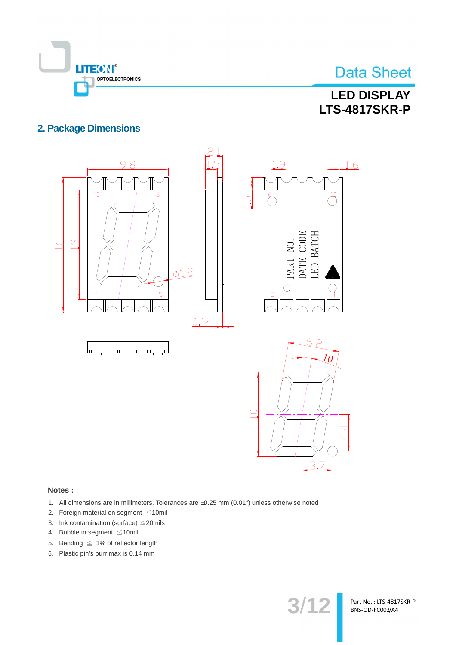

# **LED DISPLAY LTS-4817SKR-P**

## **2. Package Dimensions**



### Notes:

- 1. All dimensions are in millimeters. Tolerances are ±0.25 mm (0.01") unless otherwise noted
- 2. Foreign material on segment ≤10mil
- 3. Ink contamination (surface)  $\leq$  20mils
- 4. Bubble in segment  $\leq 10$ mil
- 5. Bending  $\leq 1\%$  of reflector length
- 6. Plastic pin's burr max is 0.14 mm

 $3/12$ 

Part No.: LTS-4817SKR-P BNS-OD-FC002/A4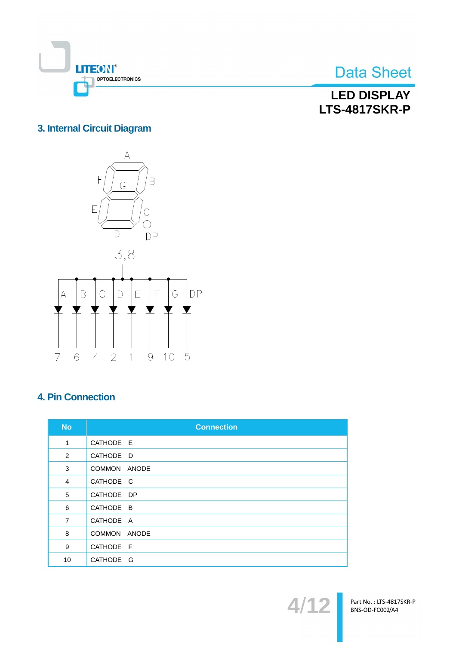

**LED DISPLAY LTS-4817SKR-P** 

## 3. Internal Circuit Diagram



## **4. Pin Connection**

| <b>No</b>      | <b>Connection</b>      |
|----------------|------------------------|
| 1              | CATHODE E              |
| 2              | CATHODE D              |
| 3              | <b>COMMON</b><br>ANODE |
| $\overline{4}$ | CATHODE C              |
| 5              | CATHODE DP             |
| 6              | CATHODE B              |
| $\overline{7}$ | CATHODE A              |
| 8              | COMMON ANODE           |
| 9              | CATHODE F              |
| 10             | CATHODE G              |



Part No.: LTS-4817SKR-P<br>BNS-OD-FC002/A4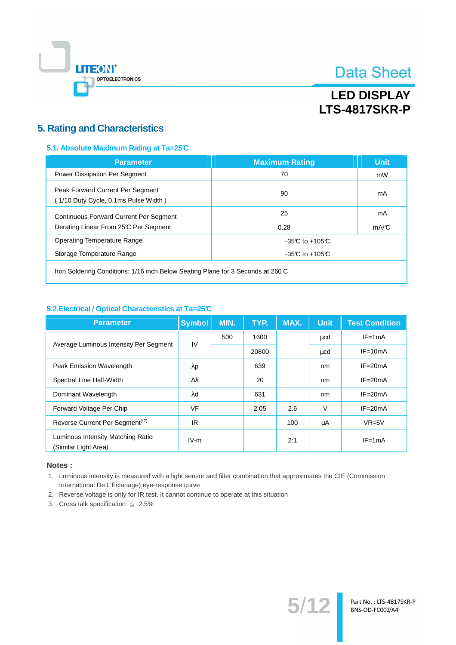

# **LED DISPLAY LTS-4817SKR-P**

### **5. Rating and Characteristics**

### 5.1. Absolute Maximum Rating at Ta=25°C

| <b>Parameter</b>                                                                       | <b>Maximum Rating</b> | <b>Unit</b> |
|----------------------------------------------------------------------------------------|-----------------------|-------------|
| Power Dissipation Per Segment                                                          | 70                    | mW          |
| Peak Forward Current Per Segment<br>(1/10 Duty Cycle, 0.1ms Pulse Width)               | 90                    | mA          |
| <b>Continuous Forward Current Per Segment</b><br>Derating Linear From 25°C Per Segment | 25<br>0.28            | mA<br>mA/C  |
| Operating Temperature Range                                                            | $-35C$ to $+105C$     |             |
| Storage Temperature Range                                                              | $-35C$ to $+105C$     |             |
|                                                                                        |                       |             |

Iron Soldering Conditions: 1/16 inch Below Seating Plane for 3 Seconds at 260°C

### 5.2. Electrical / Optical Characteristics at Ta=25°C

| <b>Parameter</b>                                          | <b>Symbol</b>    | MIN. | TYP.  | MAX. | <b>Unit</b> | <b>Test Condition</b> |
|-----------------------------------------------------------|------------------|------|-------|------|-------------|-----------------------|
|                                                           | IV               | 500  | 1600  |      | μcd         | $IF = 1mA$            |
| Average Luminous Intensity Per Segment                    |                  |      | 20800 |      | μcd         | $IF = 10mA$           |
| Peak Emission Wavelength                                  | $\lambda$ p      |      | 639   |      | nm          | $IF = 20mA$           |
| Spectral Line Half-Width                                  | $\Delta \lambda$ |      | 20    |      | nm          | $IF = 20mA$           |
| Dominant Wavelength                                       | $\lambda$ d      |      | 631   |      | nm          | $IF = 20mA$           |
| Forward Voltage Per Chip                                  | <b>VF</b>        |      | 2.05  | 2.6  | $\vee$      | $IF = 20mA$           |
| Reverse Current Per Segment <sup>(*2)</sup>               | IR.              |      |       | 100  | μA          | $VR=5V$               |
| Luminous Intensity Matching Ratio<br>(Similar Light Area) | $IV-m$           |      |       | 2:1  |             | $IF = 1mA$            |

#### Notes:

1. Luminous intensity is measured with a light sensor and filter combination that approximates the CIE (Commission International De L'Eclariage) eye-response curve

 $5/12$ 

Part No. : LTS-4817SKR-P<br>BNS-OD-FC002/A4

- 2. Reverse voltage is only for IR test. It cannot continue to operate at this situation
- 3. Cross talk specification  $\leq 2.5\%$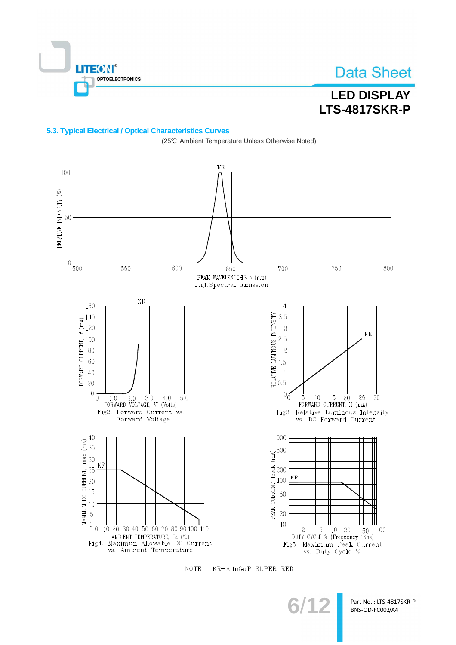

RELATIVE INTENSITY (%)

# **Data Sheet**

# **LED DISPLAY LTS-4817SKR-P**

### 5.3. Typical Electrical / Optical Characteristics Curves

 $\rm KR$ 100 50  $\overline{0}$ 600 500 550 750 800 650 700 PEAK WAVELENGTH  $\lambda$  p (nm) Fig1.<br>Spectral Emission  $KR$ 160  $\overline{4}$ RELATIVE LUMINOUS INTENSITY<br>  $\frac{1}{2}$ <br>  $\frac{1}{2}$ <br>  $\frac{1}{2}$ <br>  $\frac{1}{2}$ <br>  $\frac{1}{2}$ <br>  $\frac{1}{2}$ <br>  $\frac{1}{2}$ <br>  $\frac{1}{2}$ <br>  $\frac{1}{2}$ <br>  $\frac{1}{2}$ <br>  $\frac{1}{2}$ <br>  $\frac{1}{2}$ <br>  $\frac{1}{2}$  $\frac{1}{2}$  =  $\frac{1}{2}$  =  $\frac{1}{2}$  =  $\frac{1}{2}$  =  $\frac{1}{2}$  =  $\frac{1}{2}$  =  $\frac{1}{2}$  =  $\frac{1}{2}$  =  $\frac{1}{2}$  =  $\frac{1}{2}$  =  $\frac{1}{2}$  =  $\frac{1}{2}$  =  $\frac{1}{2}$  =  $\frac{1}{2}$  =  $\frac{1}{2}$  =  $\frac{1}{2}$  =  $\frac{1}{2}$  =  $\frac{1}{2}$  =  $\frac{1$  $3.5$  $\mathbf{3}$  $KR$  $2.5$  $\overline{c}$  $0\overline{0}$  $0_0^{\,\,\rm k}$  $1.0$   $2.0$   $3.0$   $4.0$ <br>FORWARD VOLTAGE, Vf (Volts)  $\overline{5.0}$  $\overline{10}$  $\overline{15}$  $\overline{20}$  $\overline{25}$  $\overline{3}0$  $\overline{5}$ FORWARD CURRENT, If (mA) Fig2. Forward Current vs. Fig3. Relative Luminous Intensity Forward Voltage vs. DC Forward Current 1000 40  $MAXIXIMUS$  DC UBREXT, Imax  $(mA)$ <br> $\ddot{\theta}$  33 33 33 33 33 34  $\ddot{\theta}$ PEAK CURRENT, Ipeak (mA)<br>22 32 30<br>23 30 30 31 42 500 kr KR 10  $\overline{0}$  $\frac{2}{2}$  5 10 20 50<br>DUTY CYCLE % (Frequency 1Khz) 10 20 30 40 50 60 70 80 90 100 110  $\overline{1}$ 100 MBIENT TEMPERATURE, Ta (°C)<br>Fig4. Maximun Allowable DC Current<br>vs. Ambient Temperature Fig5. Maximum Peak Current vs. Duty Cycle %

(25℃ Ambient Temperature Unless Otherwise Noted)



 $6/1$ 

Part No.: LTS-4817SKR-P BNS-OD-FC002/A4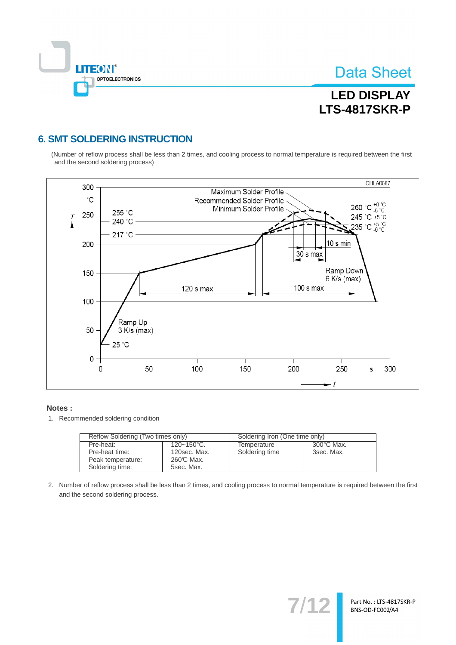

# **LED DISPLAY LTS-4817SKR-P**

## **6. SMT SOLDERING INSTRUCTION**

(Number of reflow process shall be less than 2 times, and cooling process to normal temperature is required between the first and the second soldering process)



#### Notes:

1. Recommended soldering condition

| Reflow Soldering (Two times only) |                 | Soldering Iron (One time only) |                      |  |
|-----------------------------------|-----------------|--------------------------------|----------------------|--|
| Pre-heat:                         | $120 - 150$ °C. | Temperature                    | $300^{\circ}$ C Max. |  |
| Pre-heat time:                    | 120sec. Max.    | Soldering time                 | 3sec. Max.           |  |
| Peak temperature:                 | 260℃ Max.       |                                |                      |  |
| Soldering time:                   | 5sec. Max.      |                                |                      |  |

2. Number of reflow process shall be less than 2 times, and cooling process to normal temperature is required between the first and the second soldering process.

 $7/1$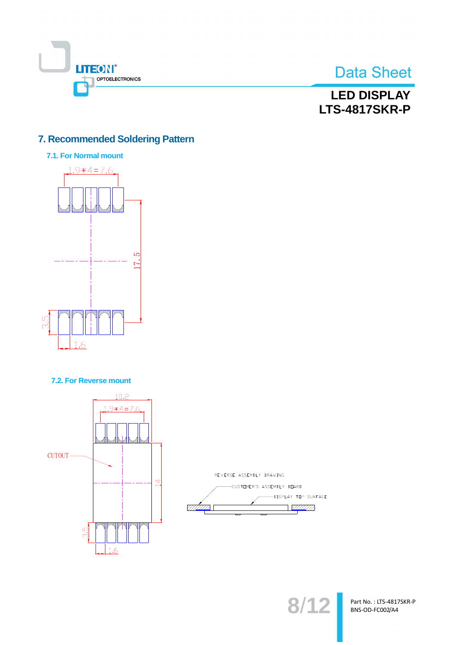

## **LED DISPLAY LTS-4817SKR-P**

## 7. Recommended Soldering Pattern



7.2. For Reverse mount





 $8/12$ 

Part No.: LTS-4817SKR-P BNS-OD-FC002/A4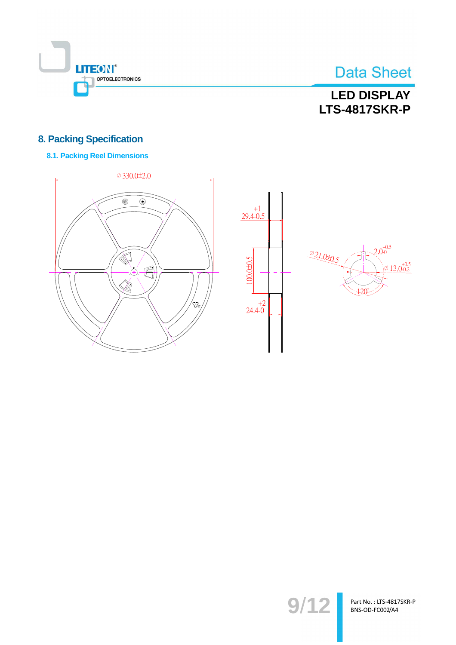

# **LED DISPLAY LTS-4817SKR-P**

## **8. Packing Specification**

### **8.1. Packing Reel Dimensions**







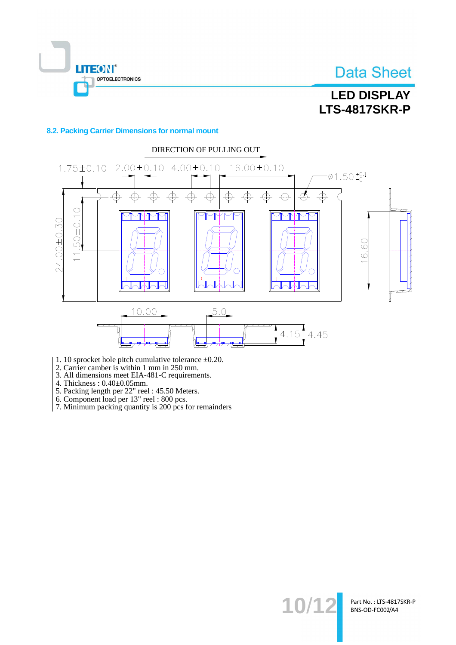

# **LED DISPLAY LTS-4817SKR-P**

### 8.2. Packing Carrier Dimensions for normal mount



- 1. 10 sprocket hole pitch cumulative tolerance  $\pm 0.20$ .
- 2. Carrier camber is within 1 mm in 250 mm.<br>3. All dimensions meet EIA-481-C requirements.
- 
- 
- 
- 
- 4. Thickness :  $0.40 \pm 0.05$ mm.<br>
5. Packing length per 22" reel : 45.50 Meters.<br>
6. Component load per 13" reel : 800 pcs.<br>
7. Minimum packing quantity is 200 pcs for remainders

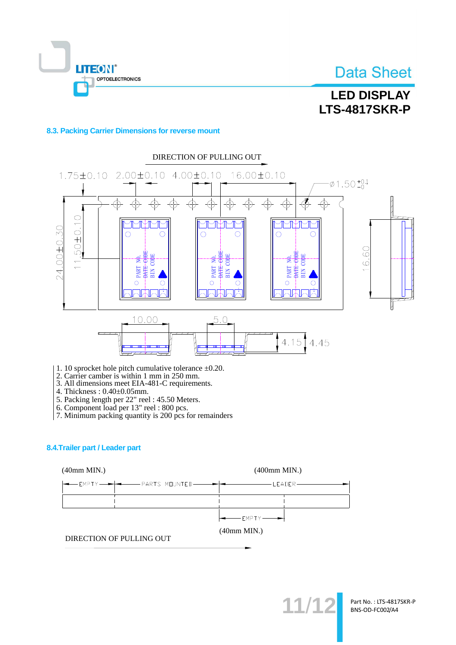

### 8.3. Packing Carrier Dimensions for reverse mount

**LITEON®** 

OPTOELECTRONICS



- 1. 10 sprocket hole pitch cumulative tolerance  $\pm 0.20$ .
- 2. Carrier camber is within 1 mm in 250 mm.<br>3. All dimensions meet EIA-481-C requirements.
- 
- 4. Thickness: 0.40±0.05mm.
- 
- 4. FINCRIESS : 0.40.10.001111.<br>5. Packing length per 22" reel : 45.50 Meters.<br>6. Component load per 13" reel : 800 pcs.
- 7. Minimum packing quantity is 200 pcs for remainders

### 8.4. Trailer part / Leader part



 $11/1$